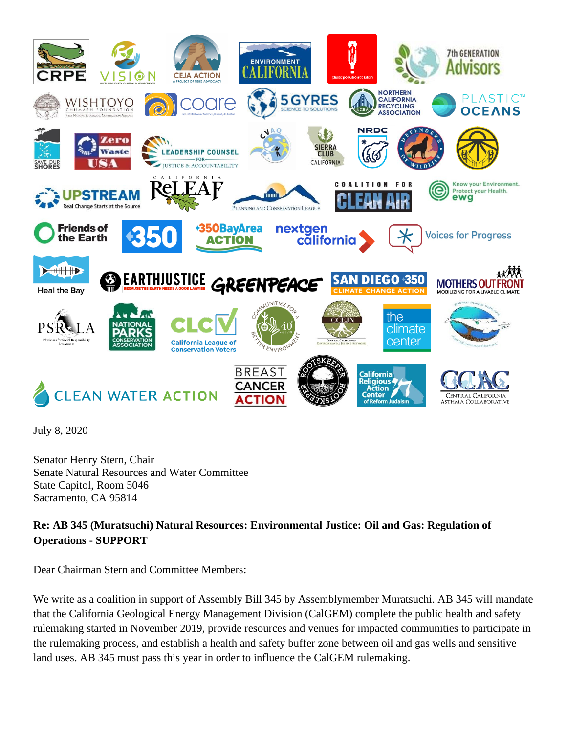

July 8, 2020

Senator Henry Stern, Chair Senate Natural Resources and Water Committee State Capitol, Room 5046 Sacramento, CA 95814

**Re: AB 345 (Muratsuchi) Natural Resources: Environmental Justice: Oil and Gas: Regulation of Operations - SUPPORT**

Dear Chairman Stern and Committee Members:

We write as a coalition in support of Assembly Bill 345 by Assemblymember Muratsuchi. AB 345 will mandate that the California Geological Energy Management Division (CalGEM) complete the public health and safety rulemaking started in November 2019, provide resources and venues for impacted communities to participate in the rulemaking process, and establish a health and safety buffer zone between oil and gas wells and sensitive land uses. AB 345 must pass this year in order to influence the CalGEM rulemaking.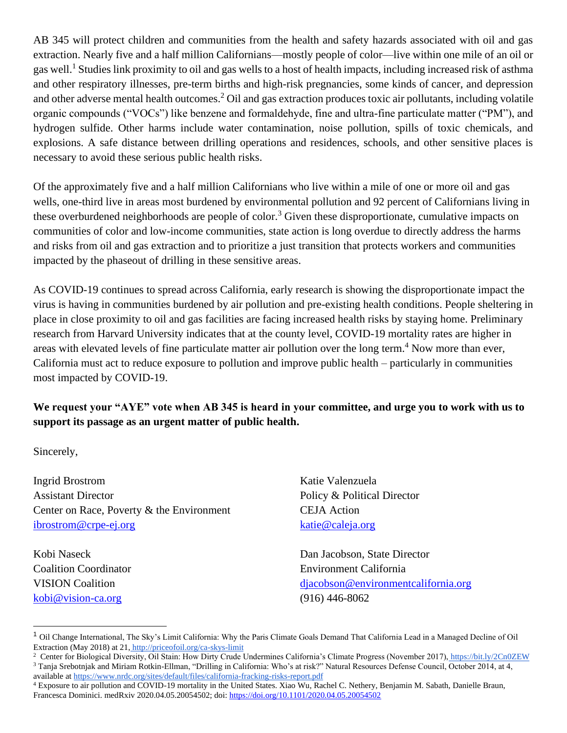AB 345 will protect children and communities from the health and safety hazards associated with oil and gas extraction. Nearly five and a half million Californians—mostly people of color—live within one mile of an oil or gas well.<sup>1</sup> Studies link proximity to oil and gas wells to a host of health impacts, including increased risk of asthma and other respiratory illnesses, pre-term births and high-risk pregnancies, some kinds of cancer, and depression and other adverse mental health outcomes. <sup>2</sup> Oil and gas extraction produces toxic air pollutants, including volatile organic compounds ("VOCs") like benzene and formaldehyde, fine and ultra-fine particulate matter ("PM"), and hydrogen sulfide. Other harms include water contamination, noise pollution, spills of toxic chemicals, and explosions. A safe distance between drilling operations and residences, schools, and other sensitive places is necessary to avoid these serious public health risks.

Of the approximately five and a half million Californians who live within a mile of one or more oil and gas wells, one-third live in areas most burdened by environmental pollution and 92 percent of Californians living in these overburdened neighborhoods are people of color.<sup>3</sup> Given these disproportionate, cumulative impacts on communities of color and low-income communities, state action is long overdue to directly address the harms and risks from oil and gas extraction and to prioritize a just transition that protects workers and communities impacted by the phaseout of drilling in these sensitive areas.

As COVID-19 continues to spread across California, early research is showing the disproportionate impact the virus is having in communities burdened by air pollution and pre-existing health conditions. People sheltering in place in close proximity to oil and gas facilities are facing increased health risks by staying home. Preliminary research from Harvard University indicates that at the county level, COVID-19 mortality rates are higher in areas with elevated levels of fine particulate matter air pollution over the long term.<sup>4</sup> Now more than ever, California must act to reduce exposure to pollution and improve public health – particularly in communities most impacted by COVID-19.

**We request your "AYE" vote when AB 345 is heard in your committee, and urge you to work with us to support its passage as an urgent matter of public health.**

Sincerely,

Ingrid Brostrom Assistant Director Center on Race, Poverty & the Environment [ibrostrom@crpe-ej.org](mailto:bnewell@crpe-ej.org)

Kobi Naseck Coalition Coordinator VISION Coalition [kobi@vision-ca.org](mailto:kobi@vision-ca.org)

Katie Valenzuela Policy & Political Director CEJA Action [katie@caleja.org](mailto:katie@caleja.org)

Dan Jacobson, State Director Environment California [djacobson@environmentcalifornia.org](mailto:djacobson@environmentcalifornia.org) (916) 446-8062

<sup>1</sup> Oil Change International, The Sky's Limit California: Why the Paris Climate Goals Demand That California Lead in a Managed Decline of Oil Extraction (May 2018) at 21, <http://priceofoil.org/ca-skys-limit>

<sup>&</sup>lt;sup>2</sup> Center for Biological Diversity, Oil Stain: How Dirty Crude Undermines California's Climate Progress (November 2017), <https://bit.ly/2Cn0ZEW> <sup>3</sup> Tanja Srebotnjak and Miriam Rotkin-Ellman, "Drilling in California: Who's at risk?" Natural Resources Defense Council, October 2014, at 4, available a[t https://www.nrdc.org/sites/default/files/california-fracking-risks-report.pdf](https://www.nrdc.org/sites/default/files/california-fracking-risks-report.pdf)

<sup>4</sup> Exposure to air pollution and COVID-19 mortality in the United States. Xiao Wu, Rachel C. Nethery, Benjamin M. Sabath, Danielle Braun, Francesca Dominici. medRxiv 2020.04.05.20054502; doi: <https://doi.org/10.1101/2020.04.05.20054502>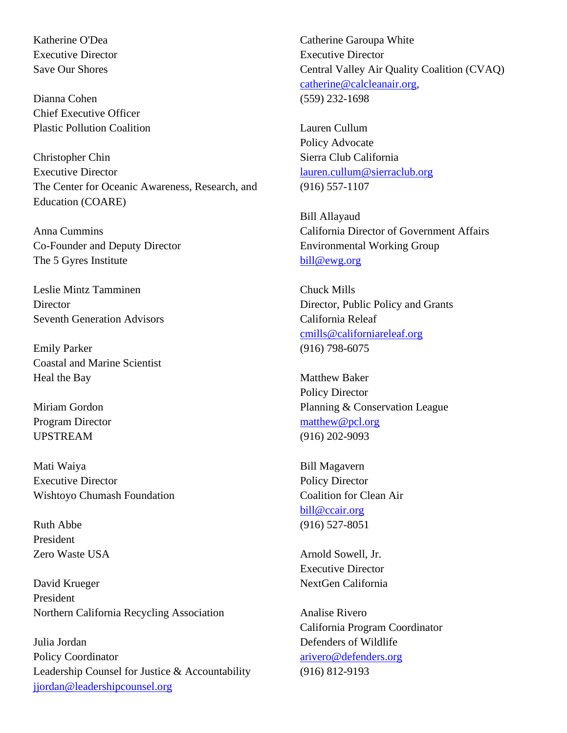Katherine O'Dea Executive Director Save Our Shores

Dianna Cohen Chief Executive Officer Plastic Pollution Coalition

Christopher Chin Executive Director The Center for Oceanic Awareness, Research, and Education (COARE)

Anna Cummins Co-Founder and Deputy Director The 5 Gyres Institute

Leslie Mintz Tamminen **Director** Seventh Generation Advisors

Emily Parker Coastal and Marine Scientist Heal the Bay

Miriam Gordon Program Director UPSTREAM

Mati Waiya Executive Director Wishtoyo Chumash Foundation

Ruth Abbe President Zero Waste USA

David Krueger President Northern California Recycling Association

Julia Jordan Policy Coordinator Leadership Counsel for Justice & Accountability [jjordan@leadershipcounsel.org](mailto:jjordan@leadershipcounsel.org)

Catherine Garoupa White Executive Director Central Valley Air Quality Coalition (CVAQ) [catherine@calcleanair.org,](mailto:catherine@calcleanair.org) (559) 232-1698

Lauren Cullum Policy Advocate Sierra Club California [lauren.cullum@sierraclub.org](mailto:lauren.cullum@sierraclub.org) (916) 557-1107

Bill Allayaud California Director of Government Affairs Environmental Working Group [bill@ewg.org](mailto:bill@ewg.org)

Chuck Mills Director, Public Policy and Grants California Releaf [cmills@californiareleaf.org](mailto:cmills@californiareleaf.org) (916) 798-6075

Matthew Baker Policy Director Planning & Conservation League [matthew@pcl.org](mailto:matthew@pcl.org) (916) 202-9093

Bill Magavern Policy Director Coalition for Clean Air [bill@ccair.org](mailto:bill@ccair.org) (916) 527-8051

Arnold Sowell, Jr. Executive Director NextGen California

Analise Rivero California Program Coordinator Defenders of Wildlife [arivero@defenders.org](mailto:arivero@defenders.org) (916) 812-9193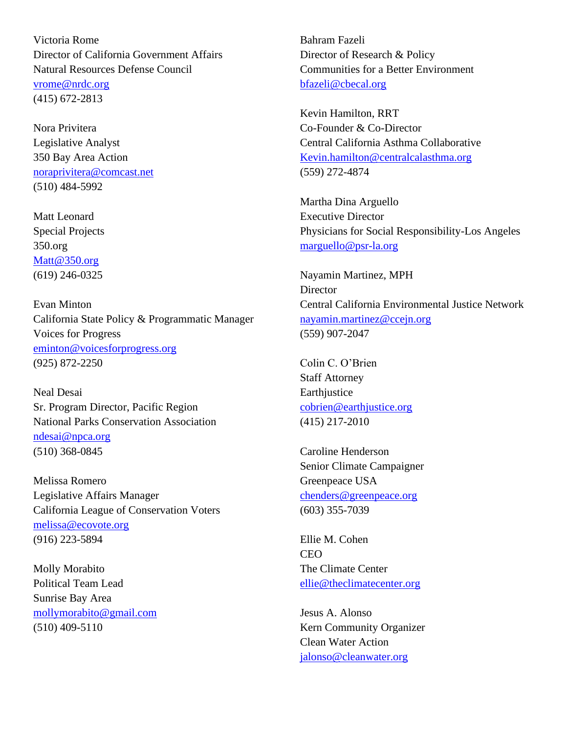Victoria Rome Director of California Government Affairs Natural Resources Defense Council [vrome@nrdc.org](mailto:vrome@nrdc.org) (415) 672-2813

Nora Privitera Legislative Analyst 350 Bay Area Action [noraprivitera@comcast.net](mailto:noraprivitera@comcast.net) (510) 484-5992

Matt Leonard Special Projects 350.org [Matt@350.org](mailto:Matt.Leonard@350.org) (619) 246-0325

Evan Minton California State Policy & Programmatic Manager Voices for Progress [eminton@voicesforprogress.org](mailto:eminton@voicesforprogress.org) (925) 872-2250

Neal Desai Sr. Program Director, Pacific Region National Parks Conservation Association [ndesai@npca.org](mailto:ndesai@npca.org) (510) 368-0845

Melissa Romero Legislative Affairs Manager California League of Conservation Voters [melissa@ecovote.org](mailto:melissa@ecovote.org) (916) 223-5894

Molly Morabito Political Team Lead Sunrise Bay Area [mollymorabito@gmail.com](mailto:mollymorabito@gmail.com) (510) 409-5110

Bahram Fazeli Director of Research & Policy Communities for a Better Environment [bfazeli@cbecal.org](mailto:bfazeli@cbecal.org)

Kevin Hamilton, RRT Co-Founder & Co-Director Central California Asthma Collaborative [Kevin.hamilton@centralcalasthma.org](mailto:Kevin.hamilton@centralcalasthma.org) (559) 272-4874

Martha Dina Arguello Executive Director Physicians for Social Responsibility-Los Angeles [marguello@psr-la.org](mailto:marguello@psr-la.org)

Nayamin Martinez, MPH **Director** Central California Environmental Justice Network [nayamin.martinez@ccejn.org](mailto:nayamin.martinez@ccejn.org) (559) 907-2047

Colin C. O'Brien Staff Attorney **Earthjustice** [cobrien@earthjustice.org](mailto:cobrien@earthjustice.org) (415) 217-2010

Caroline Henderson Senior Climate Campaigner Greenpeace USA [chenders@greenpeace.org](mailto:chenders@greenpeace.org) (603) 355-7039

Ellie M. Cohen **CEO** The Climate Center [ellie@theclimatecenter.org](mailto:ellie@theclimatecenter.org)

Jesus A. Alonso Kern Community Organizer Clean Water Action [jalonso@cleanwater.org](mailto:jalonso@cleanwater.org)